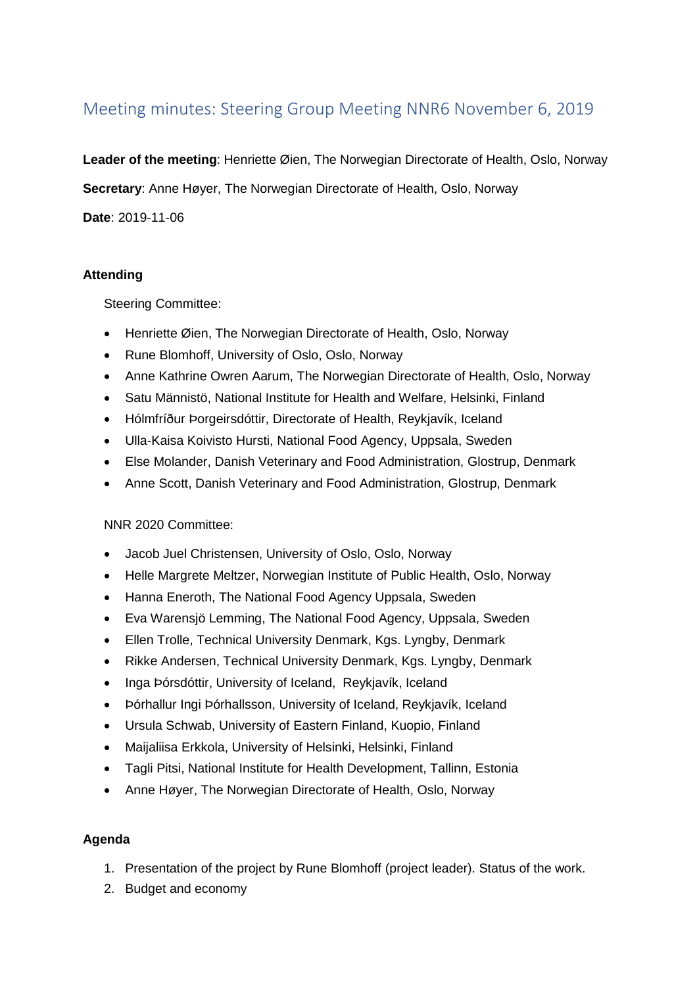# Meeting minutes: Steering Group Meeting NNR6 November 6, 2019

**Leader of the meeting**: Henriette Øien, The Norwegian Directorate of Health, Oslo, Norway

**Secretary**: Anne Høyer, The Norwegian Directorate of Health, Oslo, Norway

**Date**: 2019-11-06

## **Attending**

Steering Committee:

- Henriette Øien, The Norwegian Directorate of Health, Oslo, Norway
- Rune Blomhoff, University of Oslo, Oslo, Norway
- Anne Kathrine Owren Aarum, The Norwegian Directorate of Health, Oslo, Norway
- Satu Männistö, National Institute for Health and Welfare, Helsinki, Finland
- Hólmfríður Þorgeirsdóttir, Directorate of Health, Reykjavík, Iceland
- Ulla-Kaisa Koivisto Hursti, National Food Agency, Uppsala, Sweden
- Else Molander, Danish Veterinary and Food Administration, Glostrup, Denmark
- Anne Scott, Danish Veterinary and Food Administration, Glostrup, Denmark

## NNR 2020 Committee:

- Jacob Juel Christensen, University of Oslo, Oslo, Norway
- Helle Margrete Meltzer, Norwegian Institute of Public Health, Oslo, Norway
- Hanna Eneroth, The National Food Agency Uppsala, Sweden
- Eva Warensjö Lemming, The National Food Agency, Uppsala, Sweden
- Ellen Trolle, Technical University Denmark, Kgs. Lyngby, Denmark
- Rikke Andersen, Technical University Denmark, Kgs. Lyngby, Denmark
- Inga Þórsdóttir, University of Iceland, Reykjavík, Iceland
- Þórhallur Ingi Þórhallsson, University of Iceland, Reykjavík, Iceland
- Ursula Schwab, University of Eastern Finland, Kuopio, Finland
- Maijaliisa Erkkola, University of Helsinki, Helsinki, Finland
- Tagli Pitsi, National Institute for Health Development, Tallinn, Estonia
- Anne Høyer, The Norwegian Directorate of Health, Oslo, Norway

## **Agenda**

- 1. Presentation of the project by Rune Blomhoff (project leader). Status of the work.
- 2. Budget and economy